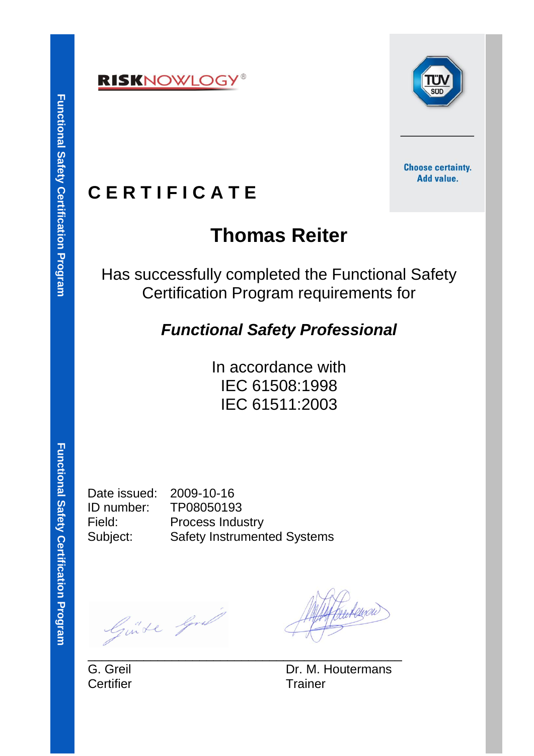



**Choose certainty.** Add value.

### **C E R T I F I C A T E**

# **Thomas Reiter**

Has successfully completed the Functional Safety Certification Program requirements for

### *Functional Safety Professional*

In accordance with IEC 61508:1998 IEC 61511:2003

Functional Safety Certification Program **Functional Safety Certification Program**

Date issued: 2009-10-16

ID number: TP08050193 Field: Process Industry Subject: Safety Instrumented Systems

\_\_\_\_\_\_\_\_\_\_\_\_\_\_\_\_\_\_\_\_\_\_\_\_\_\_\_\_\_\_\_\_\_\_\_\_\_\_\_\_\_\_\_\_\_

Guide Gral

Certifier **Trainer** 

G. Greil **Dr. M. Houtermans**